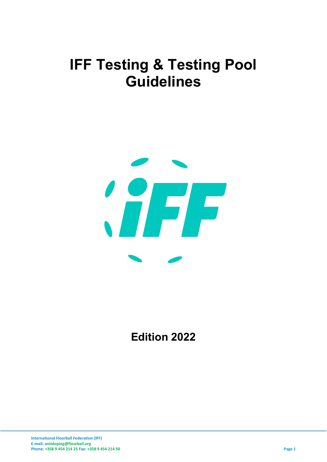# IFF Testing & Testing Pool Guidelines



Edition 2022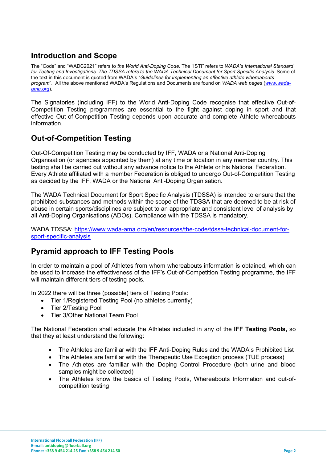## Introduction and Scope

The "Code" and "WADC2021" refers to the World Anti-Doping Code. The "ISTI" refers to WADA's International Standard for Testing and Investigations. The TDSSA refers to the WADA Technical Document for Sport Specific Analysis. Some of the text in this document is quoted from WADA's "Guidelines for implementing an effective athlete whereabouts program". All the above mentioned WADA's Regulations and Documents are found on WADA web pages (www.wadaama.org).

The Signatories (including IFF) to the World Anti-Doping Code recognise that effective Out-of-Competition Testing programmes are essential to the fight against doping in sport and that effective Out-of-Competition Testing depends upon accurate and complete Athlete whereabouts information.

#### Out-of-Competition Testing

Out-Of-Competition Testing may be conducted by IFF, WADA or a National Anti-Doping Organisation (or agencies appointed by them) at any time or location in any member country. This testing shall be carried out without any advance notice to the Athlete or his National Federation. Every Athlete affiliated with a member Federation is obliged to undergo Out-of-Competition Testing as decided by the IFF, WADA or the National Anti-Doping Organisation.

The WADA Technical Document for Sport Specific Analysis (TDSSA) is intended to ensure that the prohibited substances and methods within the scope of the TDSSA that are deemed to be at risk of abuse in certain sports/disciplines are subject to an appropriate and consistent level of analysis by all Anti-Doping Organisations (ADOs). Compliance with the TDSSA is mandatory.

WADA TDSSA: https://www.wada-ama.org/en/resources/the-code/tdssa-technical-document-forsport-specific-analysis

#### Pyramid approach to IFF Testing Pools

In order to maintain a pool of Athletes from whom whereabouts information is obtained, which can be used to increase the effectiveness of the IFF's Out-of-Competition Testing programme, the IFF will maintain different tiers of testing pools.

In 2022 there will be three (possible) tiers of Testing Pools:

- Tier 1/Registered Testing Pool (no athletes currently)
- Tier 2/Testing Pool
- Tier 3/Other National Team Pool

The National Federation shall educate the Athletes included in any of the IFF Testing Pools, so that they at least understand the following:

- The Athletes are familiar with the IFF Anti-Doping Rules and the WADA's Prohibited List
- The Athletes are familiar with the Therapeutic Use Exception process (TUE process)
- The Athletes are familiar with the Doping Control Procedure (both urine and blood samples might be collected)
- The Athletes know the basics of Testing Pools, Whereabouts Information and out-ofcompetition testing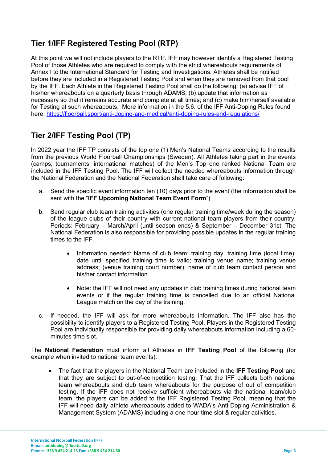# Tier 1/IFF Registered Testing Pool (RTP)

At this point we will not include players to the RTP. IFF may however identify a Registered Testing Pool of those Athletes who are required to comply with the strict whereabouts requirements of Annex I to the International Standard for Testing and Investigations. Athletes shall be notified before they are included in a Registered Testing Pool and when they are removed from that pool by the IFF. Each Athlete in the Registered Testing Pool shall do the following: (a) advise IFF of his/her whereabouts on a quarterly basis through ADAMS; (b) update that information as necessary so that it remains accurate and complete at all times; and (c) make him/herself available for Testing at such whereabouts. More information in the 5.6. of the IFF Anti-Doping Rules found here: https://floorball.sport/anti-doping-and-medical/anti-doping-rules-and-regulations/

# Tier 2/IFF Testing Pool (TP)

In 2022 year the IFF TP consists of the top one (1) Men's National Teams according to the results from the previous World Floorball Championships (Sweden). All Athletes taking part in the events (camps, tournaments, international matches) of the Men's Top one ranked National Team are included in the IFF Testing Pool. The IFF will collect the needed whereabouts information through the National Federation and the National Federation shall take care of following:

- a. Send the specific event information ten (10) days prior to the event (the information shall be sent with the "IFF Upcoming National Team Event Form")
- b. Send regular club team training activities (one regular training time/week during the season) of the league clubs of their country with current national team players from their country. Periods: February – March/April (until season ends) & September – December 31st. The National Federation is also responsible for providing possible updates in the regular training times to the IFF.
	- Information needed: Name of club team; training day; training time (local time); date until specified training time is valid; training venue name; training venue address; (venue training court number); name of club team contact person and his/her contact information.
	- Note: the IFF will not need any updates in club training times during national team events or if the regular training time is cancelled due to an official National League match on the day of the training.
- c. If needed, the IFF will ask for more whereabouts information. The IFF also has the possibility to identify players to a Registered Testing Pool. Players in the Registered Testing Pool are individually responsible for providing daily whereabouts information including a 60 minutes time slot.

The National Federation must inform all Athletes in IFF Testing Pool of the following (for example when invited to national team events):

 The fact that the players in the National Team are included in the IFF Testing Pool and that they are subject to out-of-competition testing. That the IFF collects both national team whereabouts and club team whereabouts for the purpose of out of competition testing. If the IFF does not receive sufficient whereabouts via the national team/club team, the players can be added to the IFF Registered Testing Pool, meaning that the IFF will need daily athlete whereabouts added to WADA's Anti-Doping Administration & Management System (ADAMS) including a one-hour time slot & regular activities.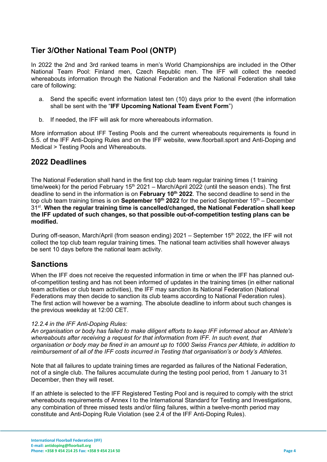#### Tier 3/Other National Team Pool (ONTP)

In 2022 the 2nd and 3rd ranked teams in men's World Championships are included in the Other National Team Pool: Finland men, Czech Republic men. The IFF will collect the needed whereabouts information through the National Federation and the National Federation shall take care of following:

- a. Send the specific event information latest ten (10) days prior to the event (the information shall be sent with the "IFF Upcoming National Team Event Form")
- b. If needed, the IFF will ask for more whereabouts information.

More information about IFF Testing Pools and the current whereabouts requirements is found in 5.5. of the IFF Anti-Doping Rules and on the IFF website, www.floorball.sport and Anti-Doping and Medical > Testing Pools and Whereabouts.

#### 2022 Deadlines

The National Federation shall hand in the first top club team regular training times (1 training time/week) for the period February  $15<sup>th</sup> 2021$  – March/April 2022 (until the season ends). The first deadline to send in the information is on February 10<sup>th</sup> 2022. The second deadline to send in the top club team training times is on **September 10<sup>th</sup>** 2022 for the period September 15<sup>th</sup> – December 31<sup>st</sup>. When the regular training time is cancelled/changed, the National Federation shall keep the IFF updated of such changes, so that possible out-of-competition testing plans can be modified.

During off-season, March/April (from season ending) 2021 – September 15th 2022, the IFF will not collect the top club team regular training times. The national team activities shall however always be sent 10 days before the national team activity.

#### **Sanctions**

When the IFF does not receive the requested information in time or when the IFF has planned outof-competition testing and has not been informed of updates in the training times (in either national team activities or club team activities), the IFF may sanction its National Federation (National Federations may then decide to sanction its club teams according to National Federation rules). The first action will however be a warning. The absolute deadline to inform about such changes is the previous weekday at 12:00 CET.

#### 12.2.4 in the IFF Anti-Doping Rules:

An organisation or body has failed to make diligent efforts to keep IFF informed about an Athlete's whereabouts after receiving a request for that information from IFF. In such event, that organisation or body may be fined in an amount up to 1000 Swiss Francs per Athlete, in addition to reimbursement of all of the IFF costs incurred in Testing that organisation's or body's Athletes.

Note that all failures to update training times are regarded as failures of the National Federation, not of a single club. The failures accumulate during the testing pool period, from 1 January to 31 December, then they will reset.

If an athlete is selected to the IFF Registered Testing Pool and is required to comply with the strict whereabouts requirements of Annex I to the International Standard for Testing and Investigations, any combination of three missed tests and/or filing failures, within a twelve-month period may constitute and Anti-Doping Rule Violation (see 2.4 of the IFF Anti-Doping Rules).